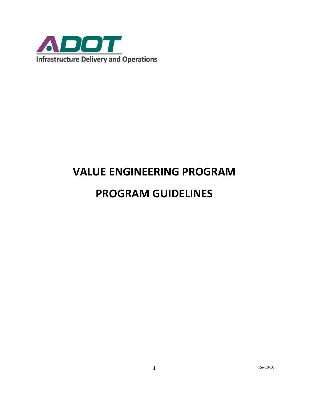

# **VALUE ENGINEERING PROGRAM**

## **PROGRAM GUIDELINES**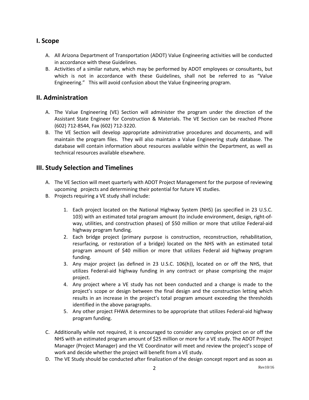## **I. Scope**

- A. All Arizona Department of Transportation (ADOT) Value Engineering activities will be conducted in accordance with these Guidelines.
- B. Activities of a similar nature, which may be performed by ADOT employees or consultants, but which is not in accordance with these Guidelines, shall not be referred to as "Value Engineering." This will avoid confusion about the Value Engineering program.

## **II. Administration**

- A. The Value Engineering (VE) Section will administer the program under the direction of the Assistant State Engineer for Construction & Materials. The VE Section can be reached Phone (602) 712-8544, Fax (602) 712-3220.
- B. The VE Section will develop appropriate administrative procedures and documents, and will maintain the program files. They will also maintain a Value Engineering study database. The database will contain information about resources available within the Department, as well as technical resources available elsewhere.

## **III. Study Selection and Timelines**

- A. The VE Section will meet quarterly with ADOT Project Management for the purpose of reviewing upcoming projects and determining their potential for future VE studies.
- B. Projects requiring a VE study shall include:
	- 1. Each project located on the National Highway System (NHS) (as specified in 23 U.S.C. 103) with an estimated total program amount (to include environment, design, right-ofway, utilities, and construction phases) of \$50 million or more that utilize Federal-aid highway program funding.
	- 2. Each bridge project (primary purpose is construction, reconstruction, rehabilitation, resurfacing, or restoration of a bridge) located on the NHS with an estimated total program amount of \$40 million or more that utilizes Federal aid highway program funding.
	- 3. Any major project (as defined in 23 U.S.C. 106(h)), located on or off the NHS, that utilizes Federal-aid highway funding in any contract or phase comprising the major project.
	- 4. Any project where a VE study has not been conducted and a change is made to the project's scope or design between the final design and the construction letting which results in an increase in the project's total program amount exceeding the thresholds identified in the above paragraphs.
	- 5. Any other project FHWA determines to be appropriate that utilizes Federal-aid highway program funding.
- C. Additionally while not required, it is encouraged to consider any complex project on or off the NHS with an estimated program amount of \$25 million or more for a VE study. The ADOT Project Manager (Project Manager) and the VE Coordinator will meet and review the project's scope of work and decide whether the project will benefit from a VE study.
- D. The VE Study should be conducted after finalization of the design concept report and as soon as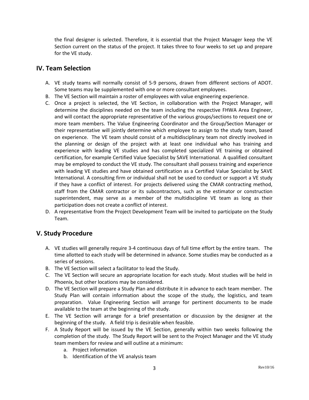the final designer is selected. Therefore, it is essential that the Project Manager keep the VE Section current on the status of the project. It takes three to four weeks to set up and prepare for the VE study.

#### **IV. Team Selection**

- A. VE study teams will normally consist of 5-9 persons, drawn from different sections of ADOT. Some teams may be supplemented with one or more consultant employees.
- B. The VE Section will maintain a roster of employees with value engineering experience.
- C. Once a project is selected, the VE Section, in collaboration with the Project Manager, will determine the disciplines needed on the team including the respective FHWA Area Engineer, and will contact the appropriate representative of the various groups/sections to request one or more team members. The Value Engineering Coordinator and the Group/Section Manager or their representative will jointly determine which employee to assign to the study team, based on experience. The VE team should consist of a multidisciplinary team not directly involved in the planning or design of the project with at least one individual who has training and experience with leading VE studies and has completed specialized VE training or obtained certification, for example Certified Value Specialist by SAVE International. A qualified consultant may be employed to conduct the VE study. The consultant shall possess training and experience with leading VE studies and have obtained certification as a Certified Value Specialist by SAVE International. A consulting firm or individual shall not be used to conduct or support a VE study if they have a conflict of interest. For projects delivered using the CMAR contracting method, staff from the CMAR contractor or its subcontractors, such as the estimator or construction superintendent, may serve as a member of the multidiscipline VE team as long as their participation does not create a conflict of interest.
- D. A representative from the Project Development Team will be invited to participate on the Study Team.

#### **V. Study Procedure**

- A. VE studies will generally require 3-4 continuous days of full time effort by the entire team. The time allotted to each study will be determined in advance. Some studies may be conducted as a series of sessions.
- B. The VE Section will select a facilitator to lead the Study.
- C. The VE Section will secure an appropriate location for each study. Most studies will be held in Phoenix, but other locations may be considered.
- D. The VE Section will prepare a Study Plan and distribute it in advance to each team member. The Study Plan will contain information about the scope of the study, the logistics, and team preparation. Value Engineering Section will arrange for pertinent documents to be made available to the team at the beginning of the study.
- E. The VE Section will arrange for a brief presentation or discussion by the designer at the beginning of the study. A field trip is desirable when feasible.
- F. A Study Report will be issued by the VE Section, generally within two weeks following the completion of the study. The Study Report will be sent to the Project Manager and the VE study team members for review and will outline at a minimum:
	- a. Project information
	- b. Identification of the VE analysis team

3